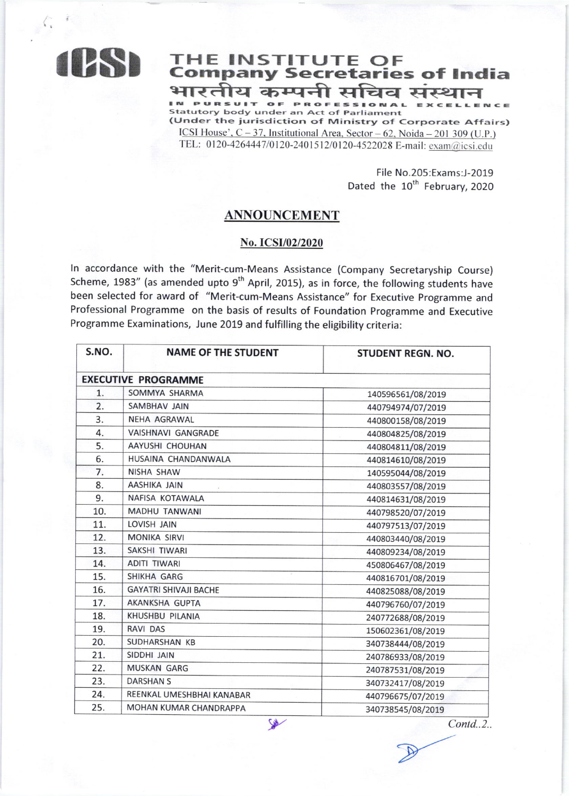

## THE INSTITUTE OF<br>Company Secretaries of India भारतीय कम्पनी सचिव संस

 $O F$ ESSIONAL  $E \times C$ **Statutory body under an Act of Parliament** (Under the jurisdiction of Ministry of Corporate Affairs)

ICSI House', C - 37, Institutional Area, Sector - 62, Noida - 201 309 (U.P.) TEL: 0120-4264447/0120-2401512/0120-4522028 E-mail: exam@icsi.edu

> File No.205:Exams:J-2019 Dated the 10<sup>th</sup> February, 2020

## **ANNOUNCEMENT**

## No. ICSI/02/2020

In accordance with the "Merit-cum-Means Assistance (Company Secretaryship Course) Scheme, 1983" (as amended upto 9<sup>th</sup> April, 2015), as in force, the following students have been selected for award of "Merit-cum-Means Assistance" for Executive Programme and Professional Programme on the basis of results of Foundation Programme and Executive Programme Examinations, June 2019 and fulfilling the eligibility criteria:

| S.NO.            | <b>NAME OF THE STUDENT</b>   | <b>STUDENT REGN. NO.</b> |
|------------------|------------------------------|--------------------------|
|                  | <b>EXECUTIVE PROGRAMME</b>   |                          |
| 1.               | SOMMYA SHARMA                | 140596561/08/2019        |
| $\overline{2}$ . | SAMBHAV JAIN                 | 440794974/07/2019        |
| 3.               | NEHA AGRAWAL                 | 440800158/08/2019        |
| 4.               | <b>VAISHNAVI GANGRADE</b>    | 440804825/08/2019        |
| 5.               | AAYUSHI CHOUHAN              | 440804811/08/2019        |
| 6.               | HUSAINA CHANDANWALA          | 440814610/08/2019        |
| 7.               | <b>NISHA SHAW</b>            | 140595044/08/2019        |
| 8.               | <b>AASHIKA JAIN</b>          | 440803557/08/2019        |
| 9.               | NAFISA KOTAWALA              | 440814631/08/2019        |
| 10.              | MADHU TANWANI                | 440798520/07/2019        |
| 11.              | LOVISH JAIN                  | 440797513/07/2019        |
| 12.              | <b>MONIKA SIRVI</b>          | 440803440/08/2019        |
| 13.              | SAKSHI TIWARI                | 440809234/08/2019        |
| 14.              | <b>ADITI TIWARI</b>          | 450806467/08/2019        |
| 15.              | SHIKHA GARG                  | 440816701/08/2019        |
| 16.              | <b>GAYATRI SHIVAJI BACHE</b> | 440825088/08/2019        |
| 17.              | AKANKSHA GUPTA               | 440796760/07/2019        |
| 18.              | KHUSHBU PILANIA              | 240772688/08/2019        |
| 19.              | <b>RAVI DAS</b>              | 150602361/08/2019        |
| 20.              | <b>SUDHARSHAN KB</b>         | 340738444/08/2019        |
| 21.              | SIDDHI JAIN                  | 240786933/08/2019        |
| 22.              | <b>MUSKAN GARG</b>           | 240787531/08/2019        |
| 23.              | <b>DARSHAN S</b>             | 340732417/08/2019        |
| 24.              | REENKAL UMESHBHAI KANABAR    | 440796675/07/2019        |
| 25.              | MOHAN KUMAR CHANDRAPPA       | 340738545/08/2019        |

S

 $Contd.2.$